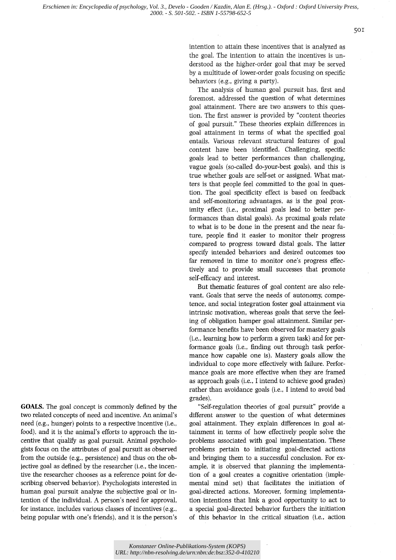*Erschienen in: Encyclopedia of psychology, Vol. 3., Develo - Gooden / Kazdin, Alan E. (Hrsg.). - Oxford : Oxford University Press, 2000. - S. 501-502. - ISBN 1-55798-652-5*

sor

intention to attain these incentives that is analyzed as the goal. The intention to attain the incentives is understood as the higher-order goal that may be served by a multitude of lower~order goals focusing on specific behaviors (e.g., giving a party).

The analysis of human goal pursuit has, first and foremost, addressed the question of what determines goal attainment. There are two answers to this question. The first answer is provided by "content theories of goal pursuit." These theories explain differences in goal attainment in terms of what the specified goal entails. Various relevant structural features of goal content have been identified. Challenging, specific goals lead to better performances than challenging, vague goals (so-called do-your-best goals), and this is true whether goals are self-set or assigned. What matters is that people feel committed to the goal in question. The goal specificity effect is based on feedback and self-monitoring advantages, as is the goal proximity effect (i.e., proximal goals lead to better performances than distal goals). As proximal goals relate to what is to be done in the present and the near future, people find it easier to monitor their progress compared to progress toward distal goals. The latter specify intended behaviors and desired outcomes too far removed in time to monitor one's progress effectively and to provide small successes that promote self-efficacy and interest.

But thematic features of goal content are also relevant. Goals that serve the needs of autonomy, competence, and social integration foster goal attainment via intrinsic motivation, whereas goals that serve the feeling of obligation hamper goal attainment. Similar performance benefits have been observed for mastery goals (i.e., learning how to perform a given task) and for performance goals (i.e., finding out through task performance how capable one is). Mastery goals allow the individual to cope more effectively with failure. Performance goals are more effective when they are framed as approach goals (i.e., I intend to achieve good grades) rather than avoidance goals (i.e., I intend to avoid bad grades).

"Self-regulation theories of goal pursuit" provide a different answer to the question of what determines goal attainment. They explain differences in goal attainment in terms of how effectively people solve the problems associated with goal implementation. These problems pertain to initiating goal-directed actions and bringing them to a successful conclusion. For example, it is observed that planning the implementation of a goal creates a cognitive orientation (implemental mind set) that facilitates the initiation of goal-directed actions. Moreover, forming implementation intentions that link a good opportunity to act to a special goal-directed behavior furthers the initiation of this behavior in the critical situation (i.e., action

**GOALS.** The goal concept is commonly defined by the two related concepts of need and incentive. An animal's need (e.g., hunger) points to a respective incentive (i.e., food), and it is the animal's efforts to approach the incentive that qualify as goal pursuit. Animal psychologists focus on the attributes of goal pursuit as observed from the outside (e.g., persistence) and thus on the objective goal as defined by the researcher (i.e., the incentive the researcher chooses as a reference point for describing observed behavior). Psychologists interested in human goal pursuit analyze the subjective goal or intention of the individual. A person's need for approval, for instance, includes various classes of incentives (e.g., being popular with one's friends), and it is the person's